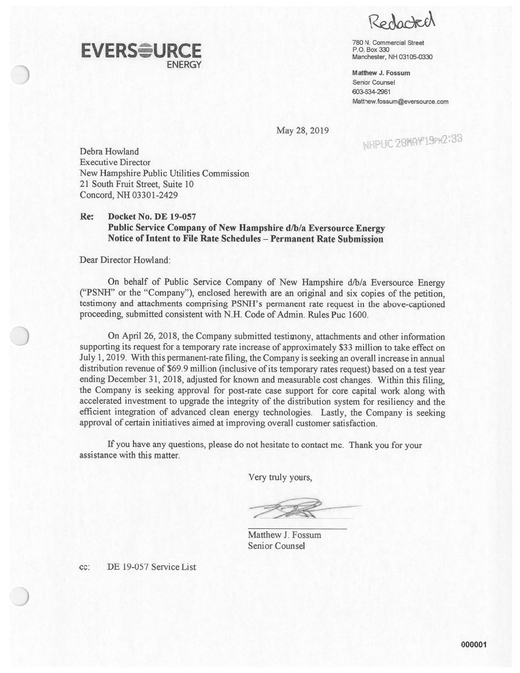Redorted

 $\mathsf{E }\mathsf{V}\mathsf{ER} \mathsf{S}$   $\mathsf{U}\mathsf{R}\mathsf{C} \mathsf{E}$  and  $\mathsf{V}\mathsf{B} \mathsf{D} \mathsf{D} \mathsf{D} \mathsf{D} \mathsf{D} \mathsf{D} \mathsf{D} \mathsf{D} \mathsf{D} \mathsf{D} \mathsf{D} \mathsf{D} \mathsf{D} \mathsf{D} \mathsf{D} \mathsf{D} \mathsf{D} \mathsf{D} \mathsf{D} \mathsf{D} \mathsf{D} \mathsf{D} \mathsf{D} \mathsf{D} \mathsf{D} \mathsf{D$ NH 03105-0330

> Matthew J. FossumSenior Counsel 603-634-2961Matthew.fossum@eversource.com

May28,2019

---.. '% 2',j- :- .h --

Debra Howland Executive DirectorNew Hampshire Public Utilities Commission 21 South Fruit Street, Suite 10 Concord, NH 03301 -2429

ENERGY

#### Re: Docket No. BE 19-057 Public Service Company of New Hampshire d/b/a Eversource Energy Notice oflntent to File Rate Schedules — Permanent Rate Submission

Dear Director Howland:

On behalf of Public Service Company of New Hampshire d/b/a Eversource Energy ("PSN}T" or the "Company"), enclosed herewith are an original and six copies of the petition, testimony and attachments comprising PSNH's permanen<sup>t</sup> rate reques<sup>t</sup> in the above-captioned proceeding, submitted consistent with N.H. Code of Admin. Rules Puc 1600.

On April 26, 2018, the Company submitted testimony, attachments and other information supporting its reques<sup>t</sup> for <sup>a</sup> temporary rate increase of approximately \$33 million to take effect on July 1, 2019. With this permanent-rate filing, the Company is seeking an overall increase in annual distribution revenue of \$69.9 million (inclusive of its temporary rates request) based on a test year ending December 31, 2018, adjusted for known and measurable cost changes. Within this filing, the Company is seeking approva<sup>l</sup> for post-rate case suppor<sup>t</sup> for core capital work along with accelerated investment to upgrade the integrity of the distribution system for resiliency and the efficient integration of advanced clean energy technologies. Lastly, the Company is seeking approval of certain initiatives aimed at improving overall customer satisfaction.

If you have any questions, <sup>p</sup>lease do not hesitate to contact me. Thank you for your assistance with this matter.

Very truly yours,

**——** .,..,

Matthew J. FossumSenior Counse

cc:DE 19-057 Service List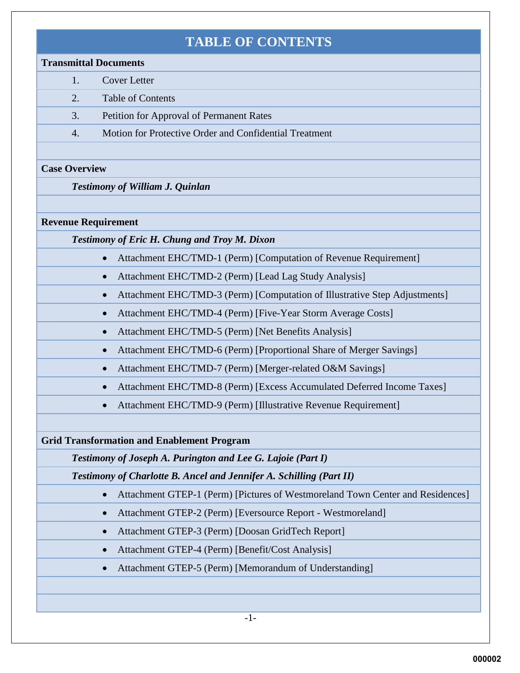## **TABLE OF CONTENTS**

#### **Transmittal Documents**

- 1. Cover Letter
- 2. Table of Contents
- 3. Petition for Approval of Permanent Rates
- 4. Motion for Protective Order and Confidential Treatment

#### **Case Overview**

*Testimony of William J. Quinlan*

#### **Revenue Requirement**

*Testimony of Eric H. Chung and Troy M. Dixon* 

- Attachment EHC/TMD-1 (Perm) [Computation of Revenue Requirement]
- Attachment EHC/TMD-2 (Perm) [Lead Lag Study Analysis]
- Attachment EHC/TMD-3 (Perm) [Computation of Illustrative Step Adjustments]
- Attachment EHC/TMD-4 (Perm) [Five-Year Storm Average Costs]
- Attachment EHC/TMD-5 (Perm) [Net Benefits Analysis]
- Attachment EHC/TMD-6 (Perm) [Proportional Share of Merger Savings]
- Attachment EHC/TMD-7 (Perm) [Merger-related O&M Savings]
- Attachment EHC/TMD-8 (Perm) [Excess Accumulated Deferred Income Taxes]
- Attachment EHC/TMD-9 (Perm) [Illustrative Revenue Requirement]

### **Grid Transformation and Enablement Program**

*Testimony of Joseph A. Purington and Lee G. Lajoie (Part I)*

*Testimony of Charlotte B. Ancel and Jennifer A. Schilling (Part II)*

- Attachment GTEP-1 (Perm) [Pictures of Westmoreland Town Center and Residences]
- Attachment GTEP-2 (Perm) [Eversource Report Westmoreland]
- Attachment GTEP-3 (Perm) [Doosan GridTech Report]
- Attachment GTEP-4 (Perm) [Benefit/Cost Analysis]
- Attachment GTEP-5 (Perm) [Memorandum of Understanding]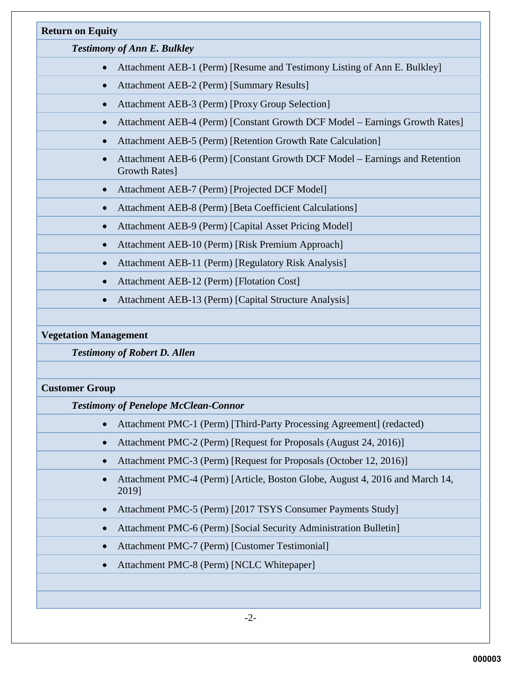| <b>Return on Equity</b>            |                                                                                              |  |
|------------------------------------|----------------------------------------------------------------------------------------------|--|
| <b>Testimony of Ann E. Bulkley</b> |                                                                                              |  |
|                                    | Attachment AEB-1 (Perm) [Resume and Testimony Listing of Ann E. Bulkley]                     |  |
|                                    | Attachment AEB-2 (Perm) [Summary Results]                                                    |  |
|                                    | Attachment AEB-3 (Perm) [Proxy Group Selection]                                              |  |
|                                    | Attachment AEB-4 (Perm) [Constant Growth DCF Model – Earnings Growth Rates]                  |  |
|                                    | Attachment AEB-5 (Perm) [Retention Growth Rate Calculation]                                  |  |
|                                    | Attachment AEB-6 (Perm) [Constant Growth DCF Model – Earnings and Retention<br>Growth Rates] |  |
| $\bullet$                          | Attachment AEB-7 (Perm) [Projected DCF Model]                                                |  |
|                                    | Attachment AEB-8 (Perm) [Beta Coefficient Calculations]                                      |  |
|                                    | Attachment AEB-9 (Perm) [Capital Asset Pricing Model]                                        |  |
|                                    | Attachment AEB-10 (Perm) [Risk Premium Approach]                                             |  |
|                                    | Attachment AEB-11 (Perm) [Regulatory Risk Analysis]                                          |  |
|                                    | Attachment AEB-12 (Perm) [Flotation Cost]                                                    |  |
|                                    | Attachment AEB-13 (Perm) [Capital Structure Analysis]                                        |  |

#### **Vegetation Management**

*Testimony of Robert D. Allen*

#### **Customer Group**

*Testimony of Penelope McClean-Connor* 

- Attachment PMC-1 (Perm) [Third-Party Processing Agreement] (redacted)
- Attachment PMC-2 (Perm) [Request for Proposals (August 24, 2016)]
- Attachment PMC-3 (Perm) [Request for Proposals (October 12, 2016)]
- Attachment PMC-4 (Perm) [Article, Boston Globe, August 4, 2016 and March 14, 2019]
- Attachment PMC-5 (Perm) [2017 TSYS Consumer Payments Study]
- Attachment PMC-6 (Perm) [Social Security Administration Bulletin]
- Attachment PMC-7 (Perm) [Customer Testimonial]
- Attachment PMC-8 (Perm) [NCLC Whitepaper]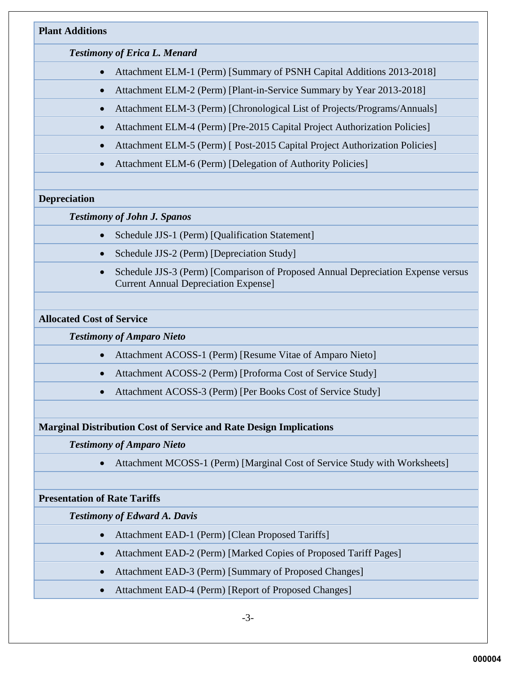# **Plant Additions** *Testimony of Erica L. Menard* • Attachment ELM-1 (Perm) [Summary of PSNH Capital Additions 2013-2018] • Attachment ELM-2 (Perm) [Plant-in-Service Summary by Year 2013-2018] • Attachment ELM-3 (Perm) [Chronological List of Projects/Programs/Annuals] • Attachment ELM-4 (Perm) [Pre-2015 Capital Project Authorization Policies]

- Attachment ELM-5 (Perm) [ Post-2015 Capital Project Authorization Policies]
- Attachment ELM-6 (Perm) [Delegation of Authority Policies]

#### **Depreciation**

#### *Testimony of John J. Spanos*

- Schedule JJS-1 (Perm) [Qualification Statement]
- Schedule JJS-2 (Perm) [Depreciation Study]
- Schedule JJS-3 (Perm) [Comparison of Proposed Annual Depreciation Expense versus Current Annual Depreciation Expense]

#### **Allocated Cost of Service**

#### *Testimony of Amparo Nieto*

- Attachment ACOSS-1 (Perm) [Resume Vitae of Amparo Nieto]
- Attachment ACOSS-2 (Perm) [Proforma Cost of Service Study]
- Attachment ACOSS-3 (Perm) [Per Books Cost of Service Study]

#### **Marginal Distribution Cost of Service and Rate Design Implications**

#### *Testimony of Amparo Nieto*

• Attachment MCOSS-1 (Perm) [Marginal Cost of Service Study with Worksheets]

#### **Presentation of Rate Tariffs**

#### *Testimony of Edward A. Davis*

- Attachment EAD-1 (Perm) [Clean Proposed Tariffs]
- Attachment EAD-2 (Perm) [Marked Copies of Proposed Tariff Pages]
- Attachment EAD-3 (Perm) [Summary of Proposed Changes]
- Attachment EAD-4 (Perm) [Report of Proposed Changes]